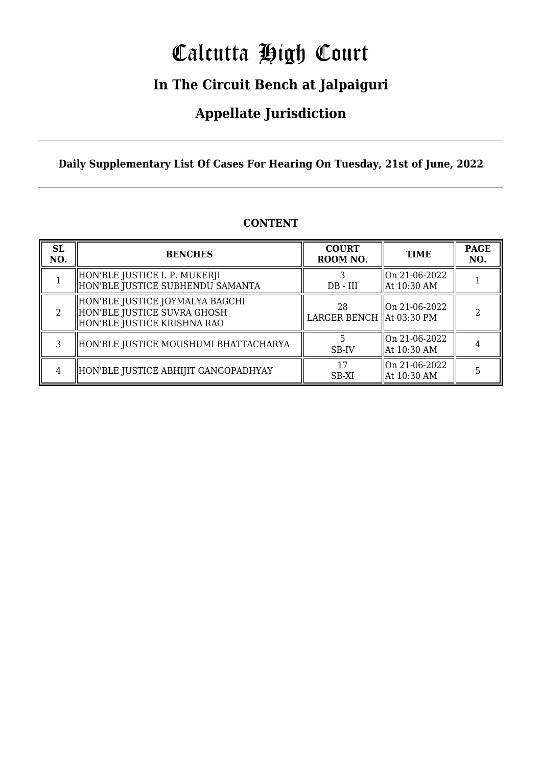# Calcutta High Court

## **In The Circuit Bench at Jalpaiguri**

## **Appellate Jurisdiction**

**Daily Supplementary List Of Cases For Hearing On Tuesday, 21st of June, 2022**

| <b>SL</b><br>NO. | <b>BENCHES</b>                                                                                | <b>COURT</b><br>ROOM NO.         | <b>TIME</b>                                            | <b>PAGE</b><br>NO. |
|------------------|-----------------------------------------------------------------------------------------------|----------------------------------|--------------------------------------------------------|--------------------|
|                  | HON'BLE JUSTICE I. P. MUKERJI<br>HON'BLE JUSTICE SUBHENDU SAMANTA                             | $DB$ - $III$                     | $\sqrt{\ln 21 - 06 - 2022}$<br>At 10:30 AM             |                    |
| $\mathcal{L}$    | HON'BLE JUSTICE JOYMALYA BAGCHI<br>HON'BLE JUSTICE SUVRA GHOSH<br>HON'BLE JUSTICE KRISHNA RAO | 28<br>LARGER BENCH   At 03:30 PM | On 21-06-2022                                          |                    |
| 3                | HON'BLE JUSTICE MOUSHUMI BHATTACHARYA                                                         | SB-IV                            | On 21-06-2022<br>At 10:30 AM                           |                    |
|                  | HON'BLE JUSTICE ABHIJIT GANGOPADHYAY                                                          | 17<br>SB-XI                      | $\sqrt{\ln 21 - 06 - 2022}$<br>$\parallel$ At 10:30 AM |                    |

#### **CONTENT**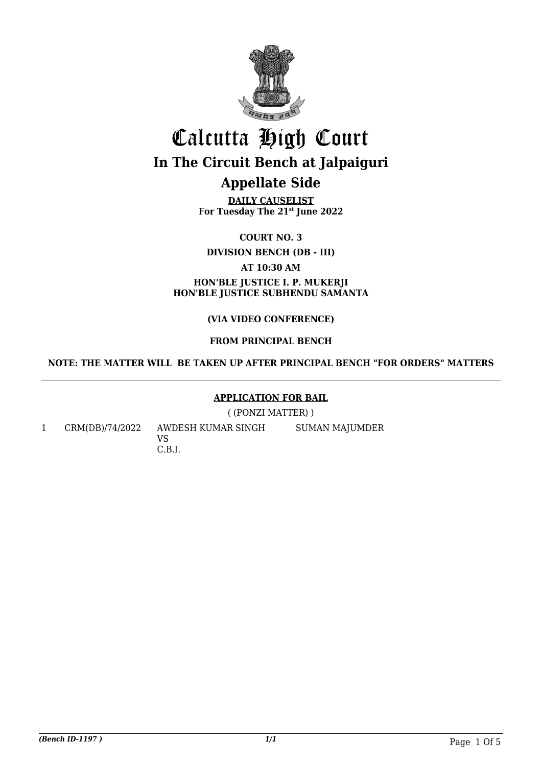

## Calcutta High Court **In The Circuit Bench at Jalpaiguri Appellate Side**

**DAILY CAUSELIST For Tuesday The 21st June 2022**

**COURT NO. 3**

**DIVISION BENCH (DB - III)**

**AT 10:30 AM**

**HON'BLE JUSTICE I. P. MUKERJI HON'BLE JUSTICE SUBHENDU SAMANTA**

#### **(VIA VIDEO CONFERENCE)**

#### **FROM PRINCIPAL BENCH**

#### **NOTE: THE MATTER WILL BE TAKEN UP AFTER PRINCIPAL BENCH "FOR ORDERS" MATTERS**

#### **APPLICATION FOR BAIL**

( (PONZI MATTER) )

1 CRM(DB)/74/2022 AWDESH KUMAR SINGH VS C.B.I. SUMAN MAJUMDER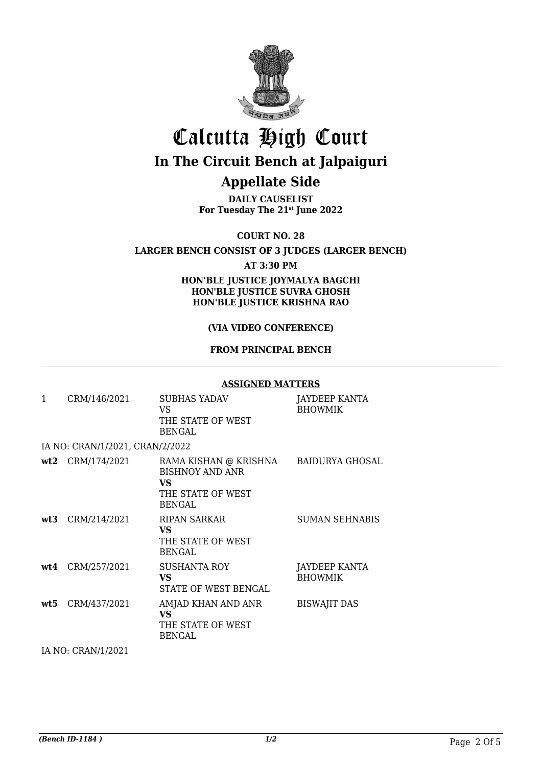

# Calcutta High Court

### **In The Circuit Bench at Jalpaiguri**

### **Appellate Side**

**DAILY CAUSELIST For Tuesday The 21st June 2022**

**COURT NO. 28**

**LARGER BENCH CONSIST OF 3 JUDGES (LARGER BENCH)**

**AT 3:30 PM**

**HON'BLE JUSTICE JOYMALYA BAGCHI HON'BLE JUSTICE SUVRA GHOSH HON'BLE JUSTICE KRISHNA RAO**

#### **(VIA VIDEO CONFERENCE)**

#### **FROM PRINCIPAL BENCH**

#### **ASSIGNED MATTERS**

| $\mathbf{1}$ | CRM/146/2021                    | <b>SUBHAS YADAV</b><br>VS.<br>THE STATE OF WEST<br><b>BENGAL</b>                             | <b>JAYDEEP KANTA</b><br><b>BHOWMIK</b> |
|--------------|---------------------------------|----------------------------------------------------------------------------------------------|----------------------------------------|
|              | IA NO: CRAN/1/2021, CRAN/2/2022 |                                                                                              |                                        |
|              | $wt2$ CRM/174/2021              | RAMA KISHAN @ KRISHNA<br><b>BISHNOY AND ANR</b><br>VS.<br>THE STATE OF WEST<br><b>BENGAL</b> | BAIDURYA GHOSAL                        |
|              | wt3 CRM/214/2021                | RIPAN SARKAR<br>VS.<br>THE STATE OF WEST<br><b>BENGAL</b>                                    | <b>SUMAN SEHNABIS</b>                  |
|              | wt4 CRM/257/2021                | <b>SUSHANTA ROY</b><br>VS.<br>STATE OF WEST BENGAL                                           | JAYDEEP KANTA<br><b>BHOWMIK</b>        |
|              | wt5 CRM/437/2021                | AMJAD KHAN AND ANR<br><b>VS</b><br>THE STATE OF WEST<br><b>BENGAL</b>                        | <b>BISWAJIT DAS</b>                    |
|              | IA NO: CRAN/1/2021              |                                                                                              |                                        |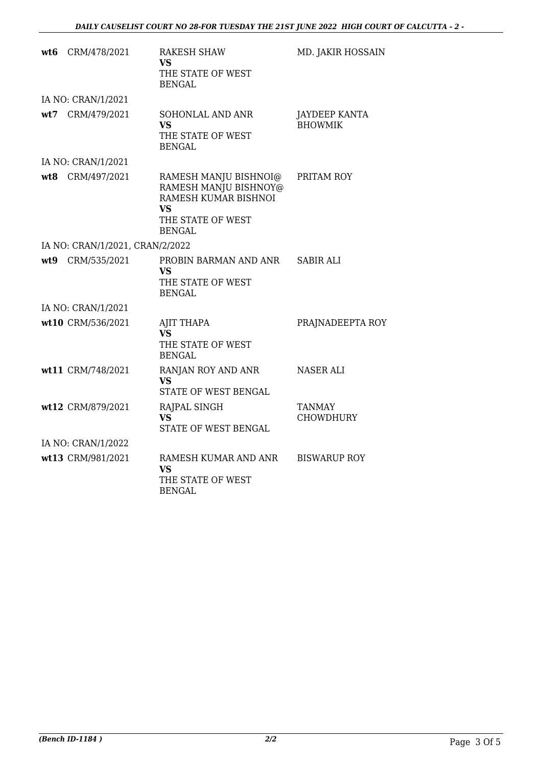| wt6 CRM/478/2021                | <b>RAKESH SHAW</b><br><b>VS</b><br>THE STATE OF WEST<br><b>BENGAL</b>                                              | MD. JAKIR HOSSAIN                      |
|---------------------------------|--------------------------------------------------------------------------------------------------------------------|----------------------------------------|
| IA NO: CRAN/1/2021              |                                                                                                                    |                                        |
| wt7 CRM/479/2021                | SOHONLAL AND ANR<br><b>VS</b><br>THE STATE OF WEST<br><b>BENGAL</b>                                                | <b>JAYDEEP KANTA</b><br><b>BHOWMIK</b> |
| IA NO: CRAN/1/2021              |                                                                                                                    |                                        |
| wt8 CRM/497/2021                | RAMESH MANJU BISHNOI@<br>RAMESH MANJU BISHNOY@<br>RAMESH KUMAR BISHNOI<br>VS<br>THE STATE OF WEST<br><b>BENGAL</b> | PRITAM ROY                             |
| IA NO: CRAN/1/2021, CRAN/2/2022 |                                                                                                                    |                                        |
| wt9 CRM/535/2021                | PROBIN BARMAN AND ANR<br>VS.<br>THE STATE OF WEST<br><b>BENGAL</b>                                                 | <b>SABIR ALI</b>                       |
| IA NO: CRAN/1/2021              |                                                                                                                    |                                        |
| wt10 CRM/536/2021               | <b>AJIT THAPA</b><br>VS.<br>THE STATE OF WEST<br><b>BENGAL</b>                                                     | PRAJNADEEPTA ROY                       |
| wt11 CRM/748/2021               | RANJAN ROY AND ANR<br>VS.<br>STATE OF WEST BENGAL                                                                  | <b>NASER ALI</b>                       |
| wt12 CRM/879/2021               | RAJPAL SINGH<br><b>VS</b><br>STATE OF WEST BENGAL                                                                  | <b>TANMAY</b><br><b>CHOWDHURY</b>      |
| IA NO: CRAN/1/2022              |                                                                                                                    |                                        |
| wt13 CRM/981/2021               | RAMESH KUMAR AND ANR<br>VS<br>THE STATE OF WEST<br><b>BENGAL</b>                                                   | <b>BISWARUP ROY</b>                    |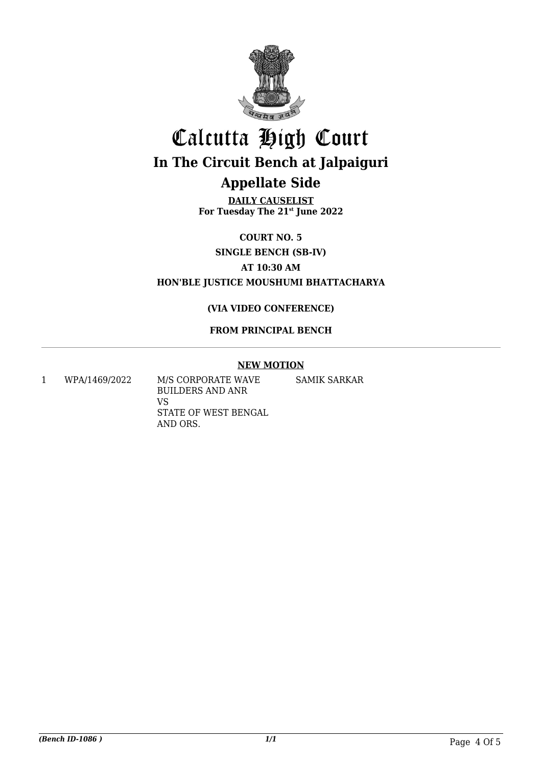

# Calcutta High Court **In The Circuit Bench at Jalpaiguri Appellate Side**

**DAILY CAUSELIST For Tuesday The 21st June 2022**

**COURT NO. 5**

**SINGLE BENCH (SB-IV)**

**AT 10:30 AM**

**HON'BLE JUSTICE MOUSHUMI BHATTACHARYA**

#### **(VIA VIDEO CONFERENCE)**

#### **FROM PRINCIPAL BENCH**

#### **NEW MOTION**

1 WPA/1469/2022 M/S CORPORATE WAVE BUILDERS AND ANR VS STATE OF WEST BENGAL AND ORS. SAMIK SARKAR